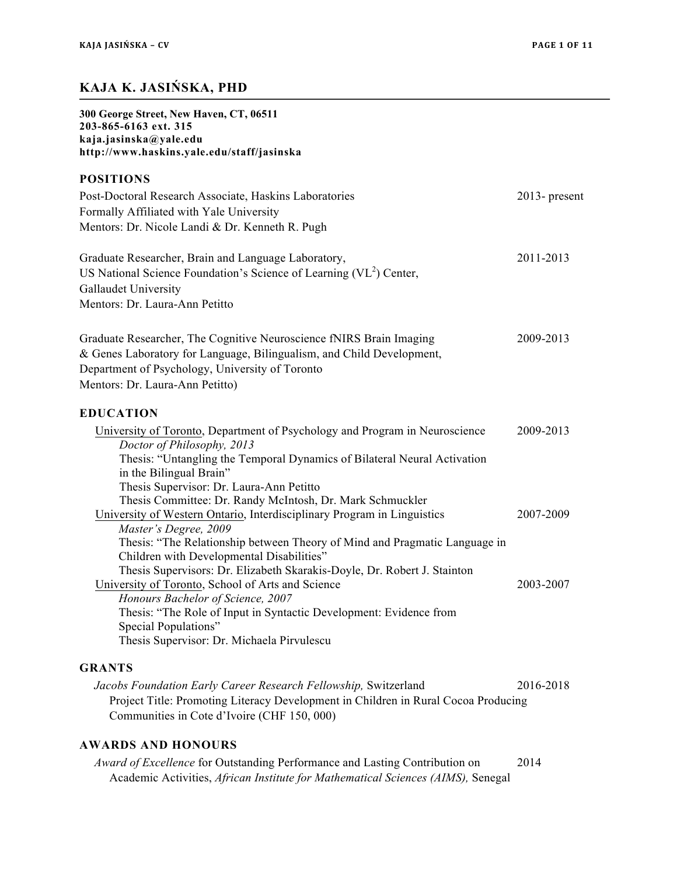# **KAJA K. JASIŃSKA, PHD**

| 300 George Street, New Haven, CT, 06511<br>203-865-6163 ext. 315<br>kaja.jasinska@yale.edu<br>http://www.haskins.yale.edu/staff/jasinska                                                                                                                                                                                                                    |                  |
|-------------------------------------------------------------------------------------------------------------------------------------------------------------------------------------------------------------------------------------------------------------------------------------------------------------------------------------------------------------|------------------|
| <b>POSITIONS</b>                                                                                                                                                                                                                                                                                                                                            |                  |
| Post-Doctoral Research Associate, Haskins Laboratories<br>Formally Affiliated with Yale University<br>Mentors: Dr. Nicole Landi & Dr. Kenneth R. Pugh                                                                                                                                                                                                       | $2013$ - present |
| Graduate Researcher, Brain and Language Laboratory,<br>US National Science Foundation's Science of Learning $(VL2)$ Center,<br>Gallaudet University<br>Mentors: Dr. Laura-Ann Petitto                                                                                                                                                                       | 2011-2013        |
| Graduate Researcher, The Cognitive Neuroscience fNIRS Brain Imaging<br>& Genes Laboratory for Language, Bilingualism, and Child Development,<br>Department of Psychology, University of Toronto<br>Mentors: Dr. Laura-Ann Petitto)                                                                                                                          | 2009-2013        |
| <b>EDUCATION</b>                                                                                                                                                                                                                                                                                                                                            |                  |
| University of Toronto, Department of Psychology and Program in Neuroscience<br>Doctor of Philosophy, 2013<br>Thesis: "Untangling the Temporal Dynamics of Bilateral Neural Activation<br>in the Bilingual Brain"                                                                                                                                            | 2009-2013        |
| Thesis Supervisor: Dr. Laura-Ann Petitto<br>Thesis Committee: Dr. Randy McIntosh, Dr. Mark Schmuckler<br>University of Western Ontario, Interdisciplinary Program in Linguistics<br>Master's Degree, 2009<br>Thesis: "The Relationship between Theory of Mind and Pragmatic Language in                                                                     | 2007-2009        |
| Children with Developmental Disabilities"<br>Thesis Supervisors: Dr. Elizabeth Skarakis-Doyle, Dr. Robert J. Stainton<br>University of Toronto, School of Arts and Science<br>Honours Bachelor of Science, 2007<br>Thesis: "The Role of Input in Syntactic Development: Evidence from<br>Special Populations"<br>Thesis Supervisor: Dr. Michaela Pirvulescu | 2003-2007        |
| <b>GRANTS</b>                                                                                                                                                                                                                                                                                                                                               |                  |
| Jacobs Foundation Early Career Research Fellowship, Switzerland<br>Project Title: Promoting Literacy Development in Children in Rural Cocoa Producing<br>Communities in Cote d'Ivoire (CHF 150, 000)                                                                                                                                                        | 2016-2018        |
| <b>AWARDS AND HONOURS</b>                                                                                                                                                                                                                                                                                                                                   |                  |
| Award of Excellence for Outstanding Performance and Lasting Contribution on<br>Academic Activities, African Institute for Mathematical Sciences (AIMS), Senegal                                                                                                                                                                                             | 2014             |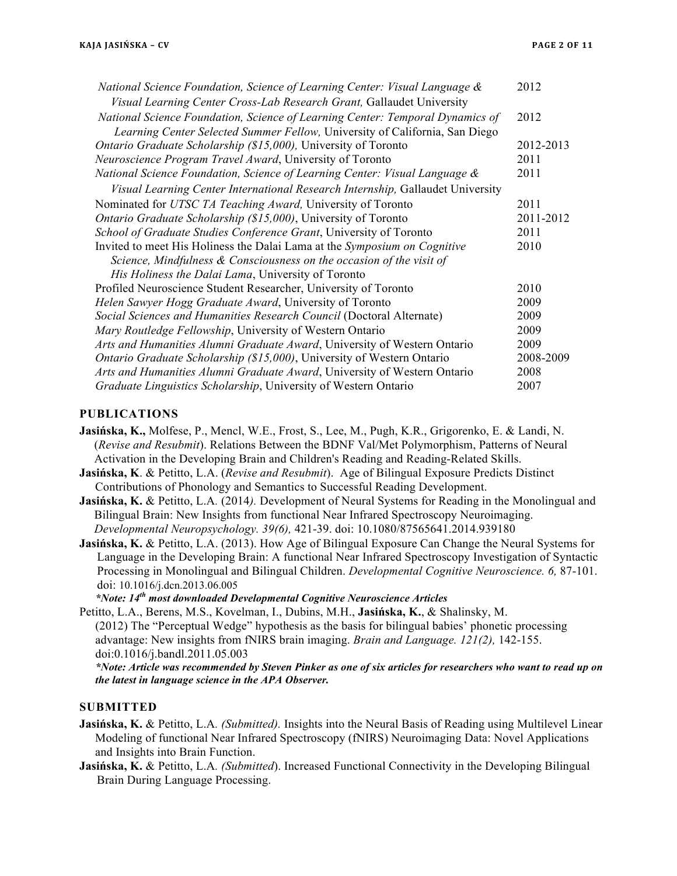| National Science Foundation, Science of Learning Center: Visual Language &     | 2012      |
|--------------------------------------------------------------------------------|-----------|
| Visual Learning Center Cross-Lab Research Grant, Gallaudet University          |           |
| National Science Foundation, Science of Learning Center: Temporal Dynamics of  | 2012      |
| Learning Center Selected Summer Fellow, University of California, San Diego    |           |
| Ontario Graduate Scholarship (\$15,000), University of Toronto                 | 2012-2013 |
| Neuroscience Program Travel Award, University of Toronto                       | 2011      |
| National Science Foundation, Science of Learning Center: Visual Language &     | 2011      |
| Visual Learning Center International Research Internship, Gallaudet University |           |
| Nominated for UTSC TA Teaching Award, University of Toronto                    | 2011      |
| Ontario Graduate Scholarship (\$15,000), University of Toronto                 | 2011-2012 |
| School of Graduate Studies Conference Grant, University of Toronto             | 2011      |
| Invited to meet His Holiness the Dalai Lama at the Symposium on Cognitive      | 2010      |
| Science, Mindfulness & Consciousness on the occasion of the visit of           |           |
| His Holiness the Dalai Lama, University of Toronto                             |           |
| Profiled Neuroscience Student Researcher, University of Toronto                | 2010      |
| Helen Sawyer Hogg Graduate Award, University of Toronto                        | 2009      |
| Social Sciences and Humanities Research Council (Doctoral Alternate)           | 2009      |
| Mary Routledge Fellowship, University of Western Ontario                       | 2009      |
| Arts and Humanities Alumni Graduate Award, University of Western Ontario       | 2009      |
| Ontario Graduate Scholarship (\$15,000), University of Western Ontario         | 2008-2009 |
| Arts and Humanities Alumni Graduate Award, University of Western Ontario       | 2008      |
| Graduate Linguistics Scholarship, University of Western Ontario                | 2007      |

#### **PUBLICATIONS**

- **Jasińska, K.,** Molfese, P., Mencl, W.E., Frost, S., Lee, M., Pugh, K.R., Grigorenko, E. & Landi, N. (*Revise and Resubmit*). Relations Between the BDNF Val/Met Polymorphism, Patterns of Neural Activation in the Developing Brain and Children's Reading and Reading-Related Skills.
- **Jasińska, K**. & Petitto, L.A. (*Revise and Resubmit*). Age of Bilingual Exposure Predicts Distinct Contributions of Phonology and Semantics to Successful Reading Development.
- **Jasińska, K.** & Petitto, L.A*.* (2014*).* Development of Neural Systems for Reading in the Monolingual and Bilingual Brain: New Insights from functional Near Infrared Spectroscopy Neuroimaging. *Developmental Neuropsychology. 39(6),* 421-39. doi: 10.1080/87565641.2014.939180
- **Jasińska, K.** & Petitto, L.A. (2013). How Age of Bilingual Exposure Can Change the Neural Systems for Language in the Developing Brain: A functional Near Infrared Spectroscopy Investigation of Syntactic Processing in Monolingual and Bilingual Children. *Developmental Cognitive Neuroscience. 6,* 87-101. doi: 10.1016/j.dcn.2013.06.005

*\*Note: 14th most downloaded Developmental Cognitive Neuroscience Articles*

Petitto, L.A., Berens, M.S., Kovelman, I., Dubins, M.H., **Jasińska, K.**, & Shalinsky, M. (2012) The "Perceptual Wedge" hypothesis as the basis for bilingual babies' phonetic processing advantage: New insights from fNIRS brain imaging. *Brain and Language. 121(2),* 142-155. doi:0.1016/j.bandl.2011.05.003

*\*Note: Article was recommended by Steven Pinker as one of six articles for researchers who want to read up on the latest in language science in the APA Observer.*

#### **SUBMITTED**

- **Jasińska, K.** & Petitto, L.A*. (Submitted).* Insights into the Neural Basis of Reading using Multilevel Linear Modeling of functional Near Infrared Spectroscopy (fNIRS) Neuroimaging Data: Novel Applications and Insights into Brain Function.
- **Jasińska, K.** & Petitto, L.A*. (Submitted*). Increased Functional Connectivity in the Developing Bilingual Brain During Language Processing.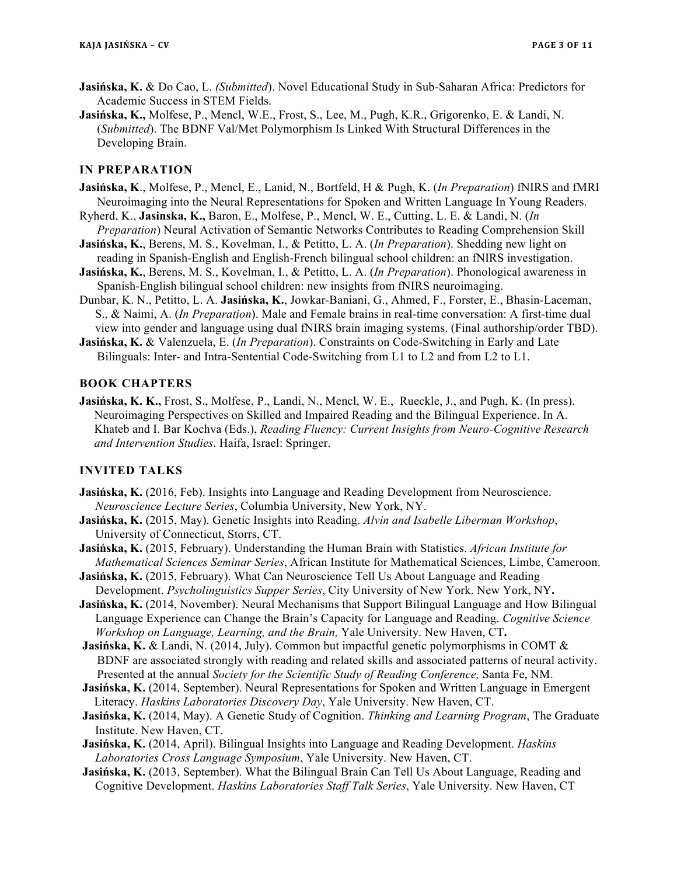- **Jasińska, K.** & Do Cao, L. *(Submitted*). Novel Educational Study in Sub-Saharan Africa: Predictors for Academic Success in STEM Fields.
- **Jasińska, K.,** Molfese, P., Mencl, W.E., Frost, S., Lee, M., Pugh, K.R., Grigorenko, E. & Landi, N. (*Submitted*). The BDNF Val/Met Polymorphism Is Linked With Structural Differences in the Developing Brain.

## **IN PREPARATION**

- **Jasińska, K**., Molfese, P., Mencl, E., Lanid, N., Bortfeld, H & Pugh, K. (*In Preparation*) fNIRS and fMRI Neuroimaging into the Neural Representations for Spoken and Written Language In Young Readers.
- Ryherd, K., **Jasinska, K.,** Baron, E., Molfese, P., Mencl, W. E., Cutting, L. E. & Landi, N. (*In Preparation*) Neural Activation of Semantic Networks Contributes to Reading Comprehension Skill
- **Jasińska, K.**, Berens, M. S., Kovelman, I., & Petitto, L. A. (*In Preparation*). Shedding new light on reading in Spanish-English and English-French bilingual school children: an fNIRS investigation.
- **Jasińska, K.**, Berens, M. S., Kovelman, I., & Petitto, L. A. (*In Preparation*). Phonological awareness in Spanish-English bilingual school children: new insights from fNIRS neuroimaging.
- Dunbar, K. N., Petitto, L. A. **Jasińska, K.**, Jowkar-Baniani, G., Ahmed, F., Forster, E., Bhasin-Laceman, S., & Naimi, A. (*In Preparation*). Male and Female brains in real-time conversation: A first-time dual view into gender and language using dual fNIRS brain imaging systems. (Final authorship/order TBD).
- **Jasińska, K.** & Valenzuela, E. (*In Preparation*). Constraints on Code-Switching in Early and Late Bilinguals: Inter- and Intra-Sentential Code-Switching from L1 to L2 and from L2 to L1.

## **BOOK CHAPTERS**

**Jasińska, K. K.,** Frost, S., Molfese, P., Landi, N., Mencl, W. E., Rueckle, J., and Pugh, K. (In press). Neuroimaging Perspectives on Skilled and Impaired Reading and the Bilingual Experience. In A. Khateb and I. Bar Kochva (Eds.), *Reading Fluency: Current Insights from Neuro-Cognitive Research and Intervention Studies*. Haifa, Israel: Springer.

## **INVITED TALKS**

- **Jasińska, K.** (2016, Feb). Insights into Language and Reading Development from Neuroscience. *Neuroscience Lecture Series*, Columbia University, New York, NY.
- **Jasińska, K.** (2015, May). Genetic Insights into Reading. *Alvin and Isabelle Liberman Workshop*, University of Connecticut, Storrs, CT.
- **Jasińska, K.** (2015, February). Understanding the Human Brain with Statistics. *African Institute for Mathematical Sciences Seminar Series*, African Institute for Mathematical Sciences, Limbe, Cameroon.
- **Jasińska, K.** (2015, February). What Can Neuroscience Tell Us About Language and Reading Development. *Psycholinguistics Supper Series*, City University of New York. New York, NY**.**
- **Jasińska, K.** (2014, November). Neural Mechanisms that Support Bilingual Language and How Bilingual Language Experience can Change the Brain's Capacity for Language and Reading. *Cognitive Science Workshop on Language, Learning, and the Brain,* Yale University. New Haven, CT**.**
- **Jasińska, K.** & Landi, N. (2014, July). Common but impactful genetic polymorphisms in COMT & BDNF are associated strongly with reading and related skills and associated patterns of neural activity. Presented at the annual *Society for the Scientific Study of Reading Conference,* Santa Fe, NM.
- **Jasińska, K.** (2014, September). Neural Representations for Spoken and Written Language in Emergent Literacy. *Haskins Laboratories Discovery Day*, Yale University. New Haven, CT.
- **Jasińska, K.** (2014, May). A Genetic Study of Cognition. *Thinking and Learning Program*, The Graduate Institute. New Haven, CT.
- **Jasińska, K.** (2014, April). Bilingual Insights into Language and Reading Development. *Haskins Laboratories Cross Language Symposium*, Yale University. New Haven, CT.
- **Jasińska, K.** (2013, September). What the Bilingual Brain Can Tell Us About Language, Reading and Cognitive Development. *Haskins Laboratories Staff Talk Series*, Yale University. New Haven, CT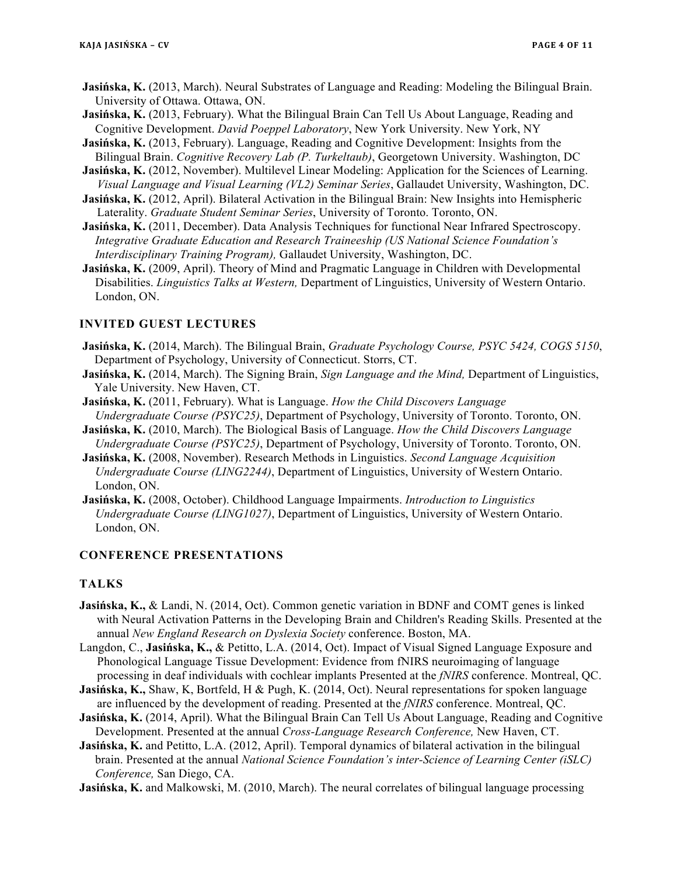- **Jasińska, K.** (2013, March). Neural Substrates of Language and Reading: Modeling the Bilingual Brain. University of Ottawa. Ottawa, ON.
- **Jasińska, K.** (2013, February). What the Bilingual Brain Can Tell Us About Language, Reading and Cognitive Development. *David Poeppel Laboratory*, New York University. New York, NY
- **Jasińska, K.** (2013, February). Language, Reading and Cognitive Development: Insights from the Bilingual Brain. *Cognitive Recovery Lab (P. Turkeltaub)*, Georgetown University. Washington, DC
- **Jasińska, K.** (2012, November). Multilevel Linear Modeling: Application for the Sciences of Learning. *Visual Language and Visual Learning (VL2) Seminar Series*, Gallaudet University, Washington, DC.
- **Jasińska, K.** (2012, April). Bilateral Activation in the Bilingual Brain: New Insights into Hemispheric Laterality. *Graduate Student Seminar Series*, University of Toronto. Toronto, ON.
- **Jasińska, K.** (2011, December). Data Analysis Techniques for functional Near Infrared Spectroscopy. *Integrative Graduate Education and Research Traineeship (US National Science Foundation's Interdisciplinary Training Program),* Gallaudet University, Washington, DC.
- **Jasińska, K.** (2009, April). Theory of Mind and Pragmatic Language in Children with Developmental Disabilities. *Linguistics Talks at Western,* Department of Linguistics, University of Western Ontario. London, ON.

## **INVITED GUEST LECTURES**

- **Jasińska, K.** (2014, March). The Bilingual Brain, *Graduate Psychology Course, PSYC 5424, COGS 5150*, Department of Psychology, University of Connecticut. Storrs, CT.
- **Jasińska, K.** (2014, March). The Signing Brain, *Sign Language and the Mind,* Department of Linguistics, Yale University. New Haven, CT.
- **Jasińska, K.** (2011, February). What is Language. *How the Child Discovers Language Undergraduate Course (PSYC25)*, Department of Psychology, University of Toronto. Toronto, ON.
- **Jasińska, K.** (2010, March). The Biological Basis of Language. *How the Child Discovers Language Undergraduate Course (PSYC25)*, Department of Psychology, University of Toronto. Toronto, ON.
- **Jasińska, K.** (2008, November). Research Methods in Linguistics. *Second Language Acquisition Undergraduate Course (LING2244)*, Department of Linguistics, University of Western Ontario. London, ON.
- **Jasińska, K.** (2008, October). Childhood Language Impairments. *Introduction to Linguistics Undergraduate Course (LING1027)*, Department of Linguistics, University of Western Ontario. London, ON.

## **CONFERENCE PRESENTATIONS**

## **TALKS**

- **Jasińska, K.,** & Landi, N. (2014, Oct). Common genetic variation in BDNF and COMT genes is linked with Neural Activation Patterns in the Developing Brain and Children's Reading Skills. Presented at the annual *New England Research on Dyslexia Society* conference. Boston, MA.
- Langdon, C., **Jasińska, K.,** & Petitto, L.A. (2014, Oct). Impact of Visual Signed Language Exposure and Phonological Language Tissue Development: Evidence from fNIRS neuroimaging of language processing in deaf individuals with cochlear implants Presented at the *fNIRS* conference. Montreal, QC.
- **Jasińska, K.,** Shaw, K, Bortfeld, H & Pugh, K. (2014, Oct). Neural representations for spoken language are influenced by the development of reading. Presented at the *fNIRS* conference. Montreal, QC.
- **Jasińska, K.** (2014, April). What the Bilingual Brain Can Tell Us About Language, Reading and Cognitive Development. Presented at the annual *Cross-Language Research Conference,* New Haven, CT.
- **Jasińska, K.** and Petitto, L.A. (2012, April). Temporal dynamics of bilateral activation in the bilingual brain. Presented at the annual *National Science Foundation's inter-Science of Learning Center (iSLC) Conference,* San Diego, CA.
- **Jasińska, K.** and Malkowski, M. (2010, March). The neural correlates of bilingual language processing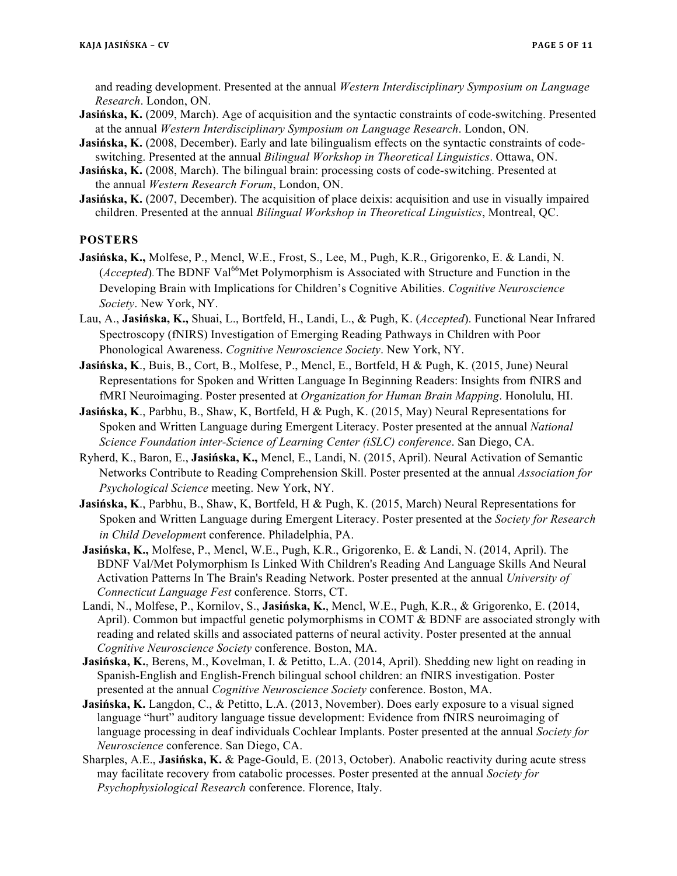and reading development. Presented at the annual *Western Interdisciplinary Symposium on Language Research*. London, ON.

- **Jasińska, K.** (2009, March). Age of acquisition and the syntactic constraints of code-switching. Presented at the annual *Western Interdisciplinary Symposium on Language Research*. London, ON.
- **Jasińska, K.** (2008, December). Early and late bilingualism effects on the syntactic constraints of codeswitching. Presented at the annual *Bilingual Workshop in Theoretical Linguistics*. Ottawa, ON.
- **Jasińska, K.** (2008, March). The bilingual brain: processing costs of code-switching. Presented at the annual *Western Research Forum*, London, ON.
- **Jasińska, K.** (2007, December). The acquisition of place deixis: acquisition and use in visually impaired children. Presented at the annual *Bilingual Workshop in Theoretical Linguistics*, Montreal, QC.

#### **POSTERS**

- **Jasińska, K.,** Molfese, P., Mencl, W.E., Frost, S., Lee, M., Pugh, K.R., Grigorenko, E. & Landi, N. (*Accepted*). The BDNF Val<sup>66</sup>Met Polymorphism is Associated with Structure and Function in the Developing Brain with Implications for Children's Cognitive Abilities. *Cognitive Neuroscience Society*. New York, NY.
- Lau, A., **Jasińska, K.,** Shuai, L., Bortfeld, H., Landi, L., & Pugh, K. (*Accepted*). Functional Near Infrared Spectroscopy (fNIRS) Investigation of Emerging Reading Pathways in Children with Poor Phonological Awareness. *Cognitive Neuroscience Society*. New York, NY.
- **Jasińska, K**., Buis, B., Cort, B., Molfese, P., Mencl, E., Bortfeld, H & Pugh, K. (2015, June) Neural Representations for Spoken and Written Language In Beginning Readers: Insights from fNIRS and fMRI Neuroimaging. Poster presented at *Organization for Human Brain Mapping*. Honolulu, HI.
- **Jasińska, K**., Parbhu, B., Shaw, K, Bortfeld, H & Pugh, K. (2015, May) Neural Representations for Spoken and Written Language during Emergent Literacy. Poster presented at the annual *National Science Foundation inter-Science of Learning Center (iSLC) conference*. San Diego, CA.
- Ryherd, K., Baron, E., **Jasińska, K.,** Mencl, E., Landi, N. (2015, April). Neural Activation of Semantic Networks Contribute to Reading Comprehension Skill. Poster presented at the annual *Association for Psychological Science* meeting. New York, NY.
- **Jasińska, K**., Parbhu, B., Shaw, K, Bortfeld, H & Pugh, K. (2015, March) Neural Representations for Spoken and Written Language during Emergent Literacy. Poster presented at the *Society for Research in Child Developmen*t conference. Philadelphia, PA.
- **Jasińska, K.,** Molfese, P., Mencl, W.E., Pugh, K.R., Grigorenko, E. & Landi, N. (2014, April). The BDNF Val/Met Polymorphism Is Linked With Children's Reading And Language Skills And Neural Activation Patterns In The Brain's Reading Network. Poster presented at the annual *University of Connecticut Language Fest* conference. Storrs, CT.
- Landi, N., Molfese, P., Kornilov, S., **Jasińska, K.**, Mencl, W.E., Pugh, K.R., & Grigorenko, E. (2014, April). Common but impactful genetic polymorphisms in COMT & BDNF are associated strongly with reading and related skills and associated patterns of neural activity. Poster presented at the annual *Cognitive Neuroscience Society* conference. Boston, MA.
- **Jasińska, K.**, Berens, M., Kovelman, I. & Petitto, L.A. (2014, April). Shedding new light on reading in Spanish-English and English-French bilingual school children: an fNIRS investigation. Poster presented at the annual *Cognitive Neuroscience Society* conference. Boston, MA.
- **Jasińska, K.** Langdon, C., & Petitto, L.A. (2013, November). Does early exposure to a visual signed language "hurt" auditory language tissue development: Evidence from fNIRS neuroimaging of language processing in deaf individuals Cochlear Implants. Poster presented at the annual *Society for Neuroscience* conference. San Diego, CA.
- Sharples, A.E., **Jasińska, K.** & Page-Gould, E. (2013, October). Anabolic reactivity during acute stress may facilitate recovery from catabolic processes. Poster presented at the annual *Society for Psychophysiological Research* conference. Florence, Italy.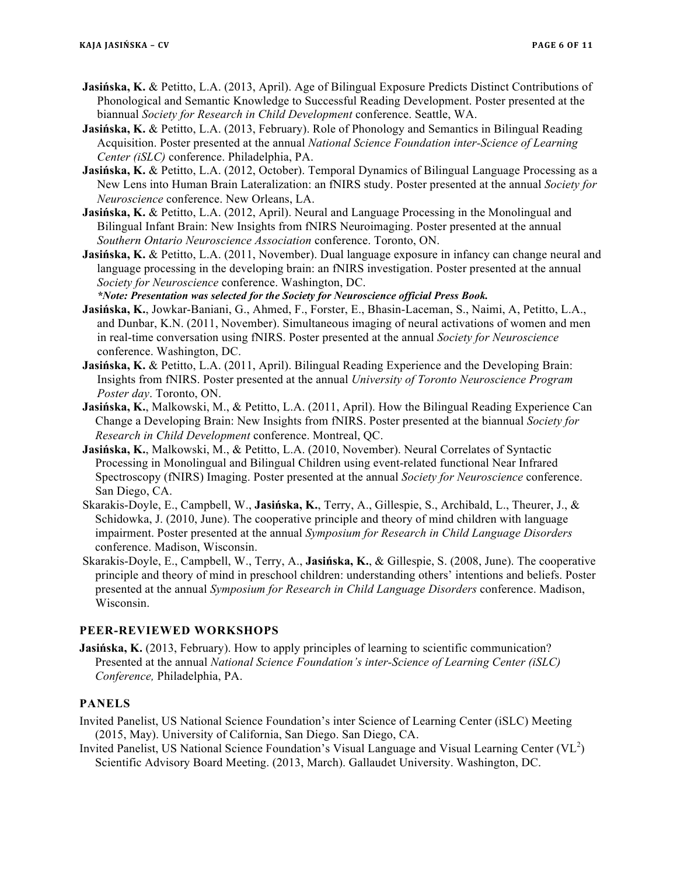- **Jasińska, K.** & Petitto, L.A. (2013, April). Age of Bilingual Exposure Predicts Distinct Contributions of Phonological and Semantic Knowledge to Successful Reading Development. Poster presented at the biannual *Society for Research in Child Development* conference. Seattle, WA.
- **Jasińska, K.** & Petitto, L.A. (2013, February). Role of Phonology and Semantics in Bilingual Reading Acquisition. Poster presented at the annual *National Science Foundation inter-Science of Learning Center (iSLC)* conference. Philadelphia, PA.
- **Jasińska, K.** & Petitto, L.A. (2012, October). Temporal Dynamics of Bilingual Language Processing as a New Lens into Human Brain Lateralization: an fNIRS study. Poster presented at the annual *Society for Neuroscience* conference. New Orleans, LA.
- **Jasińska, K.** & Petitto, L.A. (2012, April). Neural and Language Processing in the Monolingual and Bilingual Infant Brain: New Insights from fNIRS Neuroimaging. Poster presented at the annual *Southern Ontario Neuroscience Association* conference. Toronto, ON.
- **Jasińska, K.** & Petitto, L.A. (2011, November). Dual language exposure in infancy can change neural and language processing in the developing brain: an fNIRS investigation. Poster presented at the annual *Society for Neuroscience* conference. Washington, DC.

*\*Note: Presentation was selected for the Society for Neuroscience official Press Book.*

- **Jasińska, K.**, Jowkar-Baniani, G., Ahmed, F., Forster, E., Bhasin-Laceman, S., Naimi, A, Petitto, L.A., and Dunbar, K.N. (2011, November). Simultaneous imaging of neural activations of women and men in real-time conversation using fNIRS. Poster presented at the annual *Society for Neuroscience* conference. Washington, DC.
- **Jasińska, K.** & Petitto, L.A. (2011, April). Bilingual Reading Experience and the Developing Brain: Insights from fNIRS. Poster presented at the annual *University of Toronto Neuroscience Program Poster day*. Toronto, ON.
- **Jasińska, K.**, Malkowski, M., & Petitto, L.A. (2011, April). How the Bilingual Reading Experience Can Change a Developing Brain: New Insights from fNIRS. Poster presented at the biannual *Society for Research in Child Development* conference. Montreal, QC.
- **Jasińska, K.**, Malkowski, M., & Petitto, L.A. (2010, November). Neural Correlates of Syntactic Processing in Monolingual and Bilingual Children using event-related functional Near Infrared Spectroscopy (fNIRS) Imaging. Poster presented at the annual *Society for Neuroscience* conference. San Diego, CA.
- Skarakis-Doyle, E., Campbell, W., **Jasińska, K.**, Terry, A., Gillespie, S., Archibald, L., Theurer, J., & Schidowka, J. (2010, June). The cooperative principle and theory of mind children with language impairment. Poster presented at the annual *Symposium for Research in Child Language Disorders* conference. Madison, Wisconsin.
- Skarakis-Doyle, E., Campbell, W., Terry, A., **Jasińska, K.**, & Gillespie, S. (2008, June). The cooperative principle and theory of mind in preschool children: understanding others' intentions and beliefs. Poster presented at the annual *Symposium for Research in Child Language Disorders* conference. Madison, Wisconsin.

## **PEER-REVIEWED WORKSHOPS**

**Jasińska, K.** (2013, February). How to apply principles of learning to scientific communication? Presented at the annual *National Science Foundation's inter-Science of Learning Center (iSLC) Conference,* Philadelphia, PA.

## **PANELS**

- Invited Panelist, US National Science Foundation's inter Science of Learning Center (iSLC) Meeting (2015, May). University of California, San Diego. San Diego, CA.
- Invited Panelist, US National Science Foundation's Visual Language and Visual Learning Center  $(VL^2)$ Scientific Advisory Board Meeting. (2013, March). Gallaudet University. Washington, DC.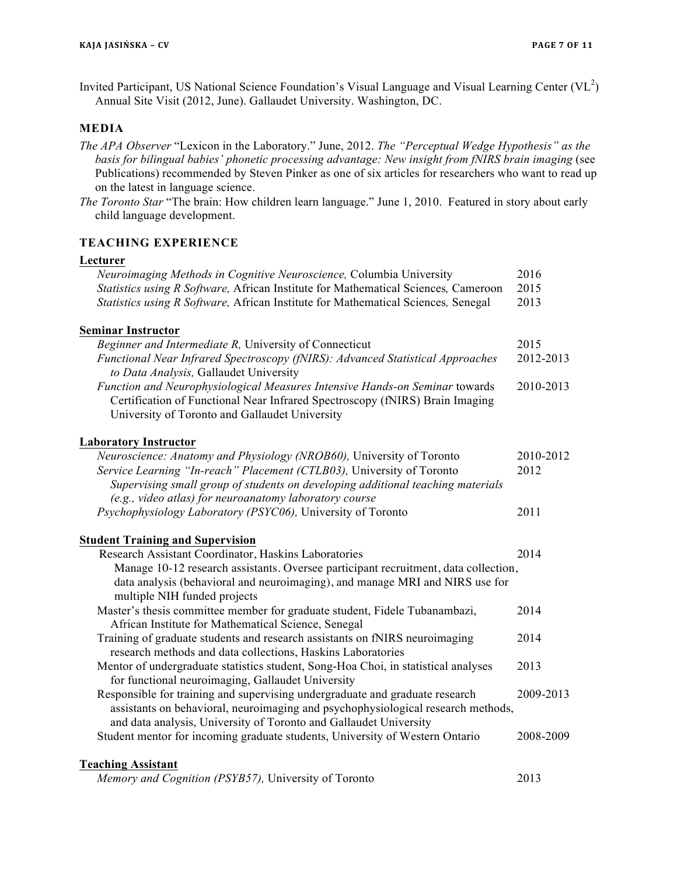Invited Participant, US National Science Foundation's Visual Language and Visual Learning Center  $(VL^2)$ Annual Site Visit (2012, June). Gallaudet University. Washington, DC.

## **MEDIA**

- *The APA Observer* "Lexicon in the Laboratory." June, 2012. *The "Perceptual Wedge Hypothesis" as the basis for bilingual babies' phonetic processing advantage: New insight from fNIRS brain imaging* (see Publications) recommended by Steven Pinker as one of six articles for researchers who want to read up on the latest in language science.
- *The Toronto Star* "The brain: How children learn language." June 1, 2010. Featured in story about early child language development.

## **TEACHING EXPERIENCE**

| Lecturer                                                                                                                                                                                                                                       |                      |
|------------------------------------------------------------------------------------------------------------------------------------------------------------------------------------------------------------------------------------------------|----------------------|
| Neuroimaging Methods in Cognitive Neuroscience, Columbia University<br>Statistics using R Software, African Institute for Mathematical Sciences, Cameroon<br>Statistics using R Software, African Institute for Mathematical Sciences, Senegal | 2016<br>2015<br>2013 |
|                                                                                                                                                                                                                                                |                      |
| <b>Seminar Instructor</b>                                                                                                                                                                                                                      |                      |
| Beginner and Intermediate R, University of Connecticut                                                                                                                                                                                         | 2015                 |
| Functional Near Infrared Spectroscopy (fNIRS): Advanced Statistical Approaches<br>to Data Analysis, Gallaudet University                                                                                                                       | 2012-2013            |
| Function and Neurophysiological Measures Intensive Hands-on Seminar towards<br>Certification of Functional Near Infrared Spectroscopy (fNIRS) Brain Imaging<br>University of Toronto and Gallaudet University                                  | 2010-2013            |
| <b>Laboratory Instructor</b>                                                                                                                                                                                                                   |                      |
| Neuroscience: Anatomy and Physiology (NROB60), University of Toronto                                                                                                                                                                           | 2010-2012            |
| Service Learning "In-reach" Placement (CTLB03), University of Toronto                                                                                                                                                                          | 2012                 |
| Supervising small group of students on developing additional teaching materials                                                                                                                                                                |                      |
| (e.g., video atlas) for neuroanatomy laboratory course                                                                                                                                                                                         |                      |
| Psychophysiology Laboratory (PSYC06), University of Toronto                                                                                                                                                                                    | 2011                 |
| <b>Student Training and Supervision</b>                                                                                                                                                                                                        |                      |
| Research Assistant Coordinator, Haskins Laboratories                                                                                                                                                                                           | 2014                 |
| Manage 10-12 research assistants. Oversee participant recruitment, data collection,                                                                                                                                                            |                      |
| data analysis (behavioral and neuroimaging), and manage MRI and NIRS use for                                                                                                                                                                   |                      |
| multiple NIH funded projects                                                                                                                                                                                                                   |                      |
| Master's thesis committee member for graduate student, Fidele Tubanambazi,<br>African Institute for Mathematical Science, Senegal                                                                                                              | 2014                 |
| Training of graduate students and research assistants on fNIRS neuroimaging                                                                                                                                                                    | 2014                 |
| research methods and data collections, Haskins Laboratories                                                                                                                                                                                    |                      |
| Mentor of undergraduate statistics student, Song-Hoa Choi, in statistical analyses<br>for functional neuroimaging, Gallaudet University                                                                                                        | 2013                 |
| Responsible for training and supervising undergraduate and graduate research<br>assistants on behavioral, neuroimaging and psychophysiological research methods,<br>and data analysis, University of Toronto and Gallaudet University          | 2009-2013            |
| Student mentor for incoming graduate students, University of Western Ontario                                                                                                                                                                   | 2008-2009            |
| <b>Teaching Assistant</b>                                                                                                                                                                                                                      |                      |
| Memory and Cognition (PSYB57), University of Toronto                                                                                                                                                                                           | 2013                 |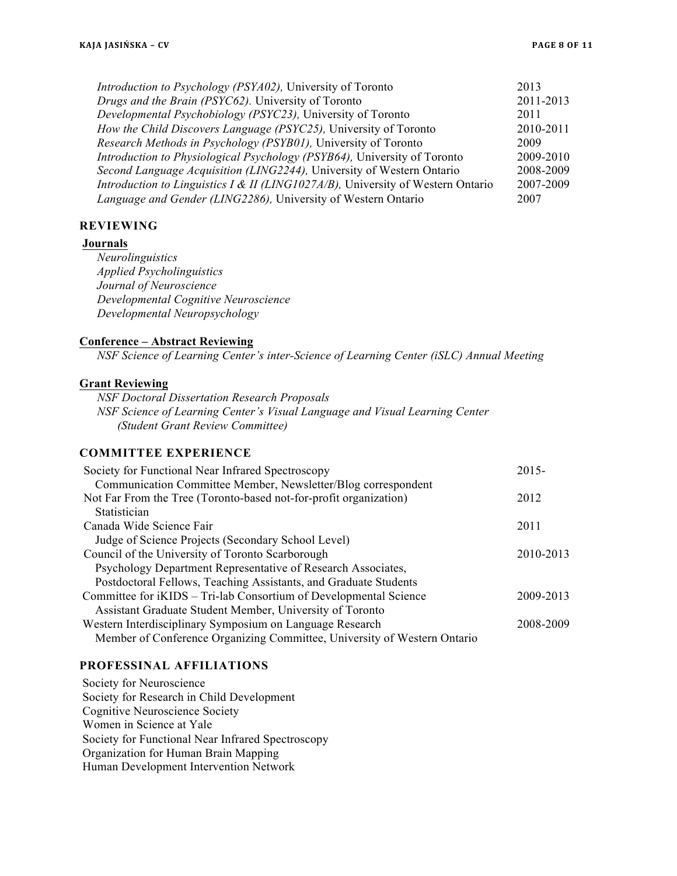| <i>Introduction to Psychology (PSYA02)</i> , University of Toronto                          | 2013      |
|---------------------------------------------------------------------------------------------|-----------|
| Drugs and the Brain (PSYC62). University of Toronto                                         | 2011-2013 |
| Developmental Psychobiology (PSYC23), University of Toronto                                 | 2011      |
| How the Child Discovers Language (PSYC25), University of Toronto                            | 2010-2011 |
| Research Methods in Psychology (PSYB01), University of Toronto                              | 2009      |
| Introduction to Physiological Psychology (PSYB64), University of Toronto                    | 2009-2010 |
| Second Language Acquisition (LING2244), University of Western Ontario                       | 2008-2009 |
| <i>Introduction to Linguistics I &amp; II (LING1027A/B)</i> , University of Western Ontario | 2007-2009 |
| Language and Gender (LING2286), University of Western Ontario                               | 2007      |

#### **REVIEWING**

## **Journals**

*Neurolinguistics Applied Psycholinguistics Journal of Neuroscience Developmental Cognitive Neuroscience Developmental Neuropsychology*

## **Conference – Abstract Reviewing**

*NSF Science of Learning Center's inter-Science of Learning Center (iSLC) Annual Meeting*

## **Grant Reviewing**

*NSF Doctoral Dissertation Research Proposals NSF Science of Learning Center's Visual Language and Visual Learning Center (Student Grant Review Committee)*

## **COMMITTEE EXPERIENCE**

| Society for Functional Near Infrared Spectroscopy                        | $2015 -$  |
|--------------------------------------------------------------------------|-----------|
| Communication Committee Member, Newsletter/Blog correspondent            |           |
| Not Far From the Tree (Toronto-based not-for-profit organization)        | 2012      |
| Statistician                                                             |           |
| Canada Wide Science Fair                                                 | 2011      |
| Judge of Science Projects (Secondary School Level)                       |           |
| Council of the University of Toronto Scarborough                         | 2010-2013 |
| Psychology Department Representative of Research Associates,             |           |
| Postdoctoral Fellows, Teaching Assistants, and Graduate Students         |           |
| Committee for iKIDS – Tri-lab Consortium of Developmental Science        | 2009-2013 |
| Assistant Graduate Student Member, University of Toronto                 |           |
| Western Interdisciplinary Symposium on Language Research                 | 2008-2009 |
| Member of Conference Organizing Committee, University of Western Ontario |           |
|                                                                          |           |

## **PROFESSINAL AFFILIATIONS**

Society for Neuroscience Society for Research in Child Development Cognitive Neuroscience Society Women in Science at Yale Society for Functional Near Infrared Spectroscopy Organization for Human Brain Mapping Human Development Intervention Network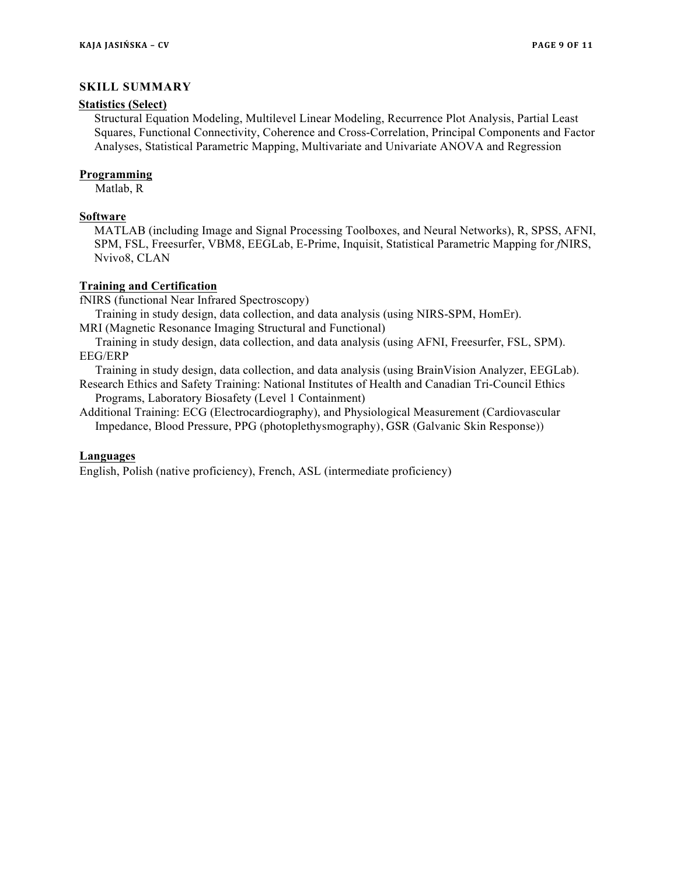## **SKILL SUMMARY**

## **Statistics (Select)**

Structural Equation Modeling, Multilevel Linear Modeling, Recurrence Plot Analysis, Partial Least Squares, Functional Connectivity, Coherence and Cross-Correlation, Principal Components and Factor Analyses, Statistical Parametric Mapping, Multivariate and Univariate ANOVA and Regression

### **Programming**

Matlab, R

# **Software**

MATLAB (including Image and Signal Processing Toolboxes, and Neural Networks), R, SPSS, AFNI, SPM, FSL, Freesurfer, VBM8, EEGLab, E-Prime, Inquisit, Statistical Parametric Mapping for *f*NIRS, Nvivo8, CLAN

# **Training and Certification**

fNIRS (functional Near Infrared Spectroscopy)

Training in study design, data collection, and data analysis (using NIRS-SPM, HomEr). MRI (Magnetic Resonance Imaging Structural and Functional)

Training in study design, data collection, and data analysis (using AFNI, Freesurfer, FSL, SPM). EEG/ERP

Training in study design, data collection, and data analysis (using BrainVision Analyzer, EEGLab).

Research Ethics and Safety Training: National Institutes of Health and Canadian Tri-Council Ethics Programs, Laboratory Biosafety (Level 1 Containment)

Additional Training: ECG (Electrocardiography), and Physiological Measurement (Cardiovascular Impedance, Blood Pressure, PPG (photoplethysmography), GSR (Galvanic Skin Response))

## **Languages**

English, Polish (native proficiency), French, ASL (intermediate proficiency)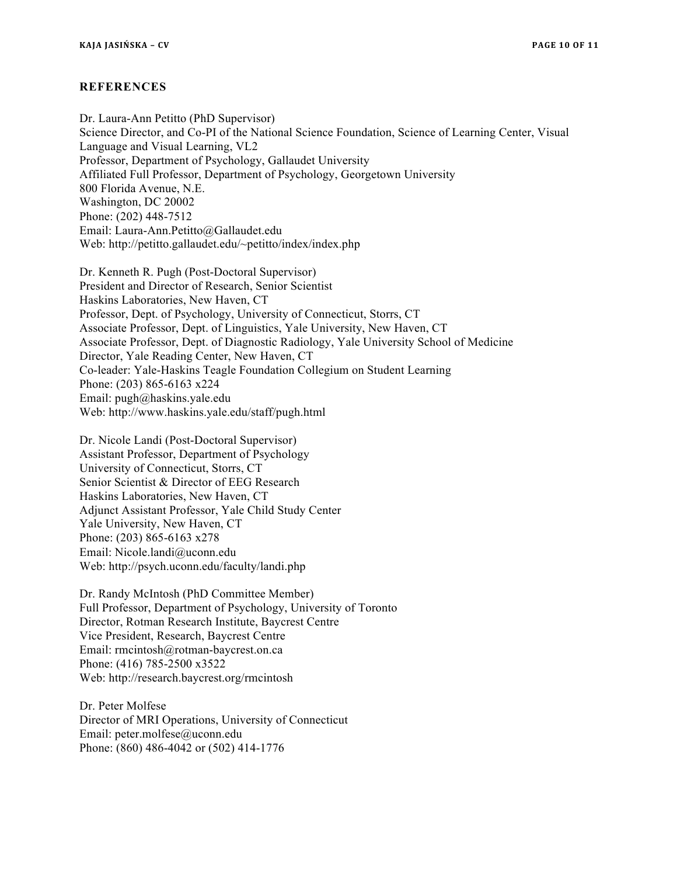#### **REFERENCES**

Dr. Laura-Ann Petitto (PhD Supervisor) Science Director, and Co-PI of the National Science Foundation, Science of Learning Center, Visual Language and Visual Learning, VL2 Professor, Department of Psychology, Gallaudet University Affiliated Full Professor, Department of Psychology, Georgetown University 800 Florida Avenue, N.E. Washington, DC 20002 Phone: (202) 448-7512 Email: Laura-Ann.Petitto@Gallaudet.edu Web: http://petitto.gallaudet.edu/~petitto/index/index.php

Dr. Kenneth R. Pugh (Post-Doctoral Supervisor) President and Director of Research, Senior Scientist Haskins Laboratories, New Haven, CT Professor, Dept. of Psychology, University of Connecticut, Storrs, CT Associate Professor, Dept. of Linguistics, Yale University, New Haven, CT Associate Professor, Dept. of Diagnostic Radiology, Yale University School of Medicine Director, Yale Reading Center, New Haven, CT Co-leader: Yale-Haskins Teagle Foundation Collegium on Student Learning Phone: (203) 865-6163 x224 Email: pugh@haskins.yale.edu Web: http://www.haskins.yale.edu/staff/pugh.html

Dr. Nicole Landi (Post-Doctoral Supervisor) Assistant Professor, Department of Psychology University of Connecticut, Storrs, CT Senior Scientist & Director of EEG Research Haskins Laboratories, New Haven, CT Adjunct Assistant Professor, Yale Child Study Center Yale University, New Haven, CT Phone: (203) 865-6163 x278 Email: Nicole.landi@uconn.edu Web: http://psych.uconn.edu/faculty/landi.php

Dr. Randy McIntosh (PhD Committee Member) Full Professor, Department of Psychology, University of Toronto Director, Rotman Research Institute, Baycrest Centre Vice President, Research, Baycrest Centre Email: rmcintosh@rotman-baycrest.on.ca Phone: (416) 785-2500 x3522 Web: http://research.baycrest.org/rmcintosh

Dr. Peter Molfese Director of MRI Operations, University of Connecticut Email: peter.molfese@uconn.edu Phone: (860) 486-4042 or (502) 414-1776